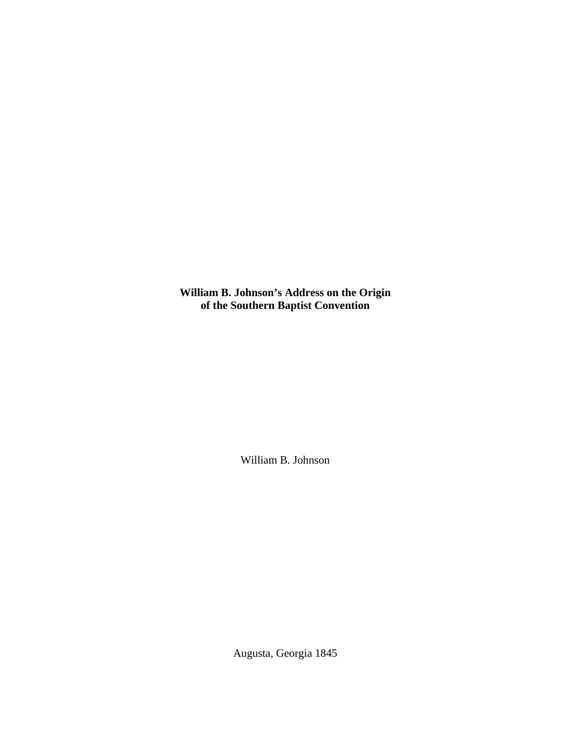**William B. Johnson's Address on the Origin of the Southern Baptist Convention** 

William B. Johnson

Augusta, Georgia 1845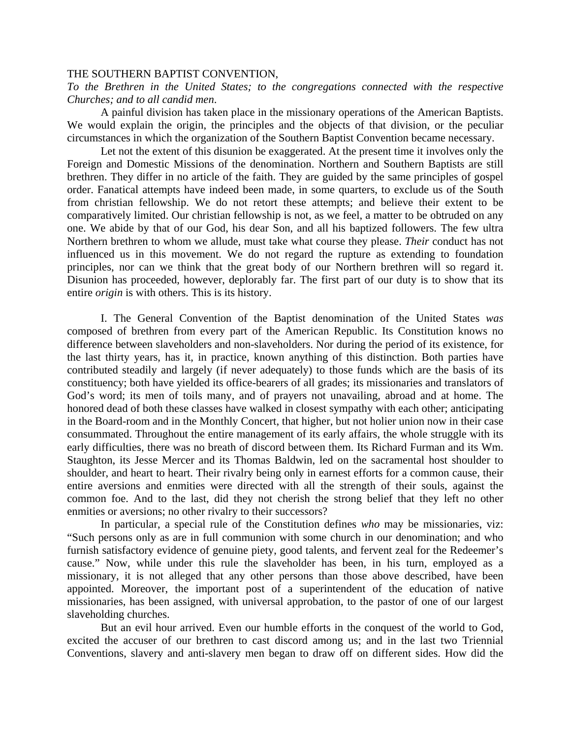## THE SOUTHERN BAPTIST CONVENTION,

## *To the Brethren in the United States; to the congregations connected with the respective Churches; and to all candid men*.

 A painful division has taken place in the missionary operations of the American Baptists. We would explain the origin, the principles and the objects of that division, or the peculiar circumstances in which the organization of the Southern Baptist Convention became necessary.

 Let not the extent of this disunion be exaggerated. At the present time it involves only the Foreign and Domestic Missions of the denomination. Northern and Southern Baptists are still brethren. They differ in no article of the faith. They are guided by the same principles of gospel order. Fanatical attempts have indeed been made, in some quarters, to exclude us of the South from christian fellowship. We do not retort these attempts; and believe their extent to be comparatively limited. Our christian fellowship is not, as we feel, a matter to be obtruded on any one. We abide by that of our God, his dear Son, and all his baptized followers. The few ultra Northern brethren to whom we allude, must take what course they please. *Their* conduct has not influenced us in this movement. We do not regard the rupture as extending to foundation principles, nor can we think that the great body of our Northern brethren will so regard it. Disunion has proceeded, however, deplorably far. The first part of our duty is to show that its entire *origin* is with others. This is its history.

I. The General Convention of the Baptist denomination of the United States *was* composed of brethren from every part of the American Republic. Its Constitution knows no difference between slaveholders and non-slaveholders. Nor during the period of its existence, for the last thirty years, has it, in practice, known anything of this distinction. Both parties have contributed steadily and largely (if never adequately) to those funds which are the basis of its constituency; both have yielded its office-bearers of all grades; its missionaries and translators of God's word; its men of toils many, and of prayers not unavailing, abroad and at home. The honored dead of both these classes have walked in closest sympathy with each other; anticipating in the Board-room and in the Monthly Concert, that higher, but not holier union now in their case consummated. Throughout the entire management of its early affairs, the whole struggle with its early difficulties, there was no breath of discord between them. Its Richard Furman and its Wm. Staughton, its Jesse Mercer and its Thomas Baldwin, led on the sacramental host shoulder to shoulder, and heart to heart. Their rivalry being only in earnest efforts for a common cause, their entire aversions and enmities were directed with all the strength of their souls, against the common foe. And to the last, did they not cherish the strong belief that they left no other enmities or aversions; no other rivalry to their successors?

 In particular, a special rule of the Constitution defines *who* may be missionaries, viz: "Such persons only as are in full communion with some church in our denomination; and who furnish satisfactory evidence of genuine piety, good talents, and fervent zeal for the Redeemer's cause." Now, while under this rule the slaveholder has been, in his turn, employed as a missionary, it is not alleged that any other persons than those above described, have been appointed. Moreover, the important post of a superintendent of the education of native missionaries, has been assigned, with universal approbation, to the pastor of one of our largest slaveholding churches.

 But an evil hour arrived. Even our humble efforts in the conquest of the world to God, excited the accuser of our brethren to cast discord among us; and in the last two Triennial Conventions, slavery and anti-slavery men began to draw off on different sides. How did the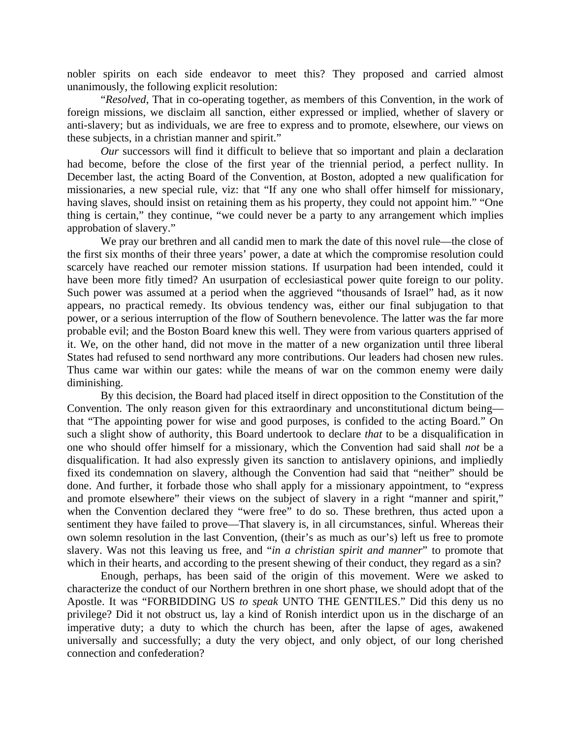nobler spirits on each side endeavor to meet this? They proposed and carried almost unanimously, the following explicit resolution:

 "*Resolved*, That in co-operating together, as members of this Convention, in the work of foreign missions, we disclaim all sanction, either expressed or implied, whether of slavery or anti-slavery; but as individuals, we are free to express and to promote, elsewhere, our views on these subjects, in a christian manner and spirit."

*Our* successors will find it difficult to believe that so important and plain a declaration had become, before the close of the first year of the triennial period, a perfect nullity. In December last, the acting Board of the Convention, at Boston, adopted a new qualification for missionaries, a new special rule, viz: that "If any one who shall offer himself for missionary, having slaves, should insist on retaining them as his property, they could not appoint him." "One thing is certain," they continue, "we could never be a party to any arrangement which implies approbation of slavery."

 We pray our brethren and all candid men to mark the date of this novel rule—the close of the first six months of their three years' power, a date at which the compromise resolution could scarcely have reached our remoter mission stations. If usurpation had been intended, could it have been more fitly timed? An usurpation of ecclesiastical power quite foreign to our polity. Such power was assumed at a period when the aggrieved "thousands of Israel" had, as it now appears, no practical remedy. Its obvious tendency was, either our final subjugation to that power, or a serious interruption of the flow of Southern benevolence. The latter was the far more probable evil; and the Boston Board knew this well. They were from various quarters apprised of it. We, on the other hand, did not move in the matter of a new organization until three liberal States had refused to send northward any more contributions. Our leaders had chosen new rules. Thus came war within our gates: while the means of war on the common enemy were daily diminishing.

 By this decision, the Board had placed itself in direct opposition to the Constitution of the Convention. The only reason given for this extraordinary and unconstitutional dictum being that "The appointing power for wise and good purposes, is confided to the acting Board." On such a slight show of authority, this Board undertook to declare *that* to be a disqualification in one who should offer himself for a missionary, which the Convention had said shall *not* be a disqualification. It had also expressly given its sanction to antislavery opinions, and impliedly fixed its condemnation on slavery, although the Convention had said that "neither" should be done. And further, it forbade those who shall apply for a missionary appointment, to "express and promote elsewhere" their views on the subject of slavery in a right "manner and spirit," when the Convention declared they "were free" to do so. These brethren, thus acted upon a sentiment they have failed to prove—That slavery is, in all circumstances, sinful. Whereas their own solemn resolution in the last Convention, (their's as much as our's) left us free to promote slavery. Was not this leaving us free, and "*in a christian spirit and manner*" to promote that which in their hearts, and according to the present shewing of their conduct, they regard as a sin?

 Enough, perhaps, has been said of the origin of this movement. Were we asked to characterize the conduct of our Northern brethren in one short phase, we should adopt that of the Apostle. It was "FORBIDDING US *to speak* UNTO THE GENTILES." Did this deny us no privilege? Did it not obstruct us, lay a kind of Ronish interdict upon us in the discharge of an imperative duty; a duty to which the church has been, after the lapse of ages, awakened universally and successfully; a duty the very object, and only object, of our long cherished connection and confederation?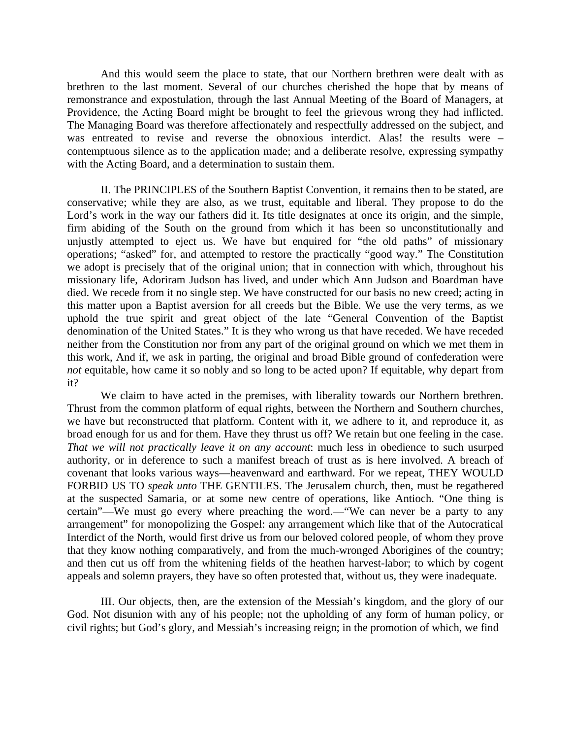And this would seem the place to state, that our Northern brethren were dealt with as brethren to the last moment. Several of our churches cherished the hope that by means of remonstrance and expostulation, through the last Annual Meeting of the Board of Managers, at Providence, the Acting Board might be brought to feel the grievous wrong they had inflicted. The Managing Board was therefore affectionately and respectfully addressed on the subject, and was entreated to revise and reverse the obnoxious interdict. Alas! the results were – contemptuous silence as to the application made; and a deliberate resolve, expressing sympathy with the Acting Board, and a determination to sustain them.

II. The PRINCIPLES of the Southern Baptist Convention, it remains then to be stated, are conservative; while they are also, as we trust, equitable and liberal. They propose to do the Lord's work in the way our fathers did it. Its title designates at once its origin, and the simple, firm abiding of the South on the ground from which it has been so unconstitutionally and unjustly attempted to eject us. We have but enquired for "the old paths" of missionary operations; "asked" for, and attempted to restore the practically "good way." The Constitution we adopt is precisely that of the original union; that in connection with which, throughout his missionary life, Adoriram Judson has lived, and under which Ann Judson and Boardman have died. We recede from it no single step. We have constructed for our basis no new creed; acting in this matter upon a Baptist aversion for all creeds but the Bible. We use the very terms, as we uphold the true spirit and great object of the late "General Convention of the Baptist denomination of the United States." It is they who wrong us that have receded. We have receded neither from the Constitution nor from any part of the original ground on which we met them in this work, And if, we ask in parting, the original and broad Bible ground of confederation were *not* equitable, how came it so nobly and so long to be acted upon? If equitable, why depart from it?

 We claim to have acted in the premises, with liberality towards our Northern brethren. Thrust from the common platform of equal rights, between the Northern and Southern churches, we have but reconstructed that platform. Content with it, we adhere to it, and reproduce it, as broad enough for us and for them. Have they thrust us off? We retain but one feeling in the case. *That we will not practically leave it on any account*: much less in obedience to such usurped authority, or in deference to such a manifest breach of trust as is here involved. A breach of covenant that looks various ways—heavenward and earthward. For we repeat, THEY WOULD FORBID US TO *speak unto* THE GENTILES. The Jerusalem church, then, must be regathered at the suspected Samaria, or at some new centre of operations, like Antioch. "One thing is certain"—We must go every where preaching the word.—"We can never be a party to any arrangement" for monopolizing the Gospel: any arrangement which like that of the Autocratical Interdict of the North, would first drive us from our beloved colored people, of whom they prove that they know nothing comparatively, and from the much-wronged Aborigines of the country; and then cut us off from the whitening fields of the heathen harvest-labor; to which by cogent appeals and solemn prayers, they have so often protested that, without us, they were inadequate.

III. Our objects, then, are the extension of the Messiah's kingdom, and the glory of our God. Not disunion with any of his people; not the upholding of any form of human policy, or civil rights; but God's glory, and Messiah's increasing reign; in the promotion of which, we find